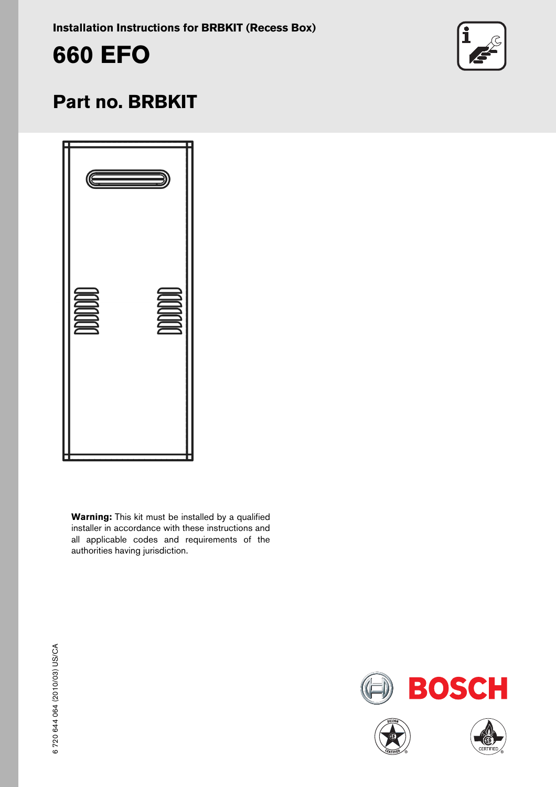**Installation Instructions for BRBKIT (Recess Box)**





# **Part no. BRBKIT**

| C     |              |
|-------|--------------|
| DODOO | <b>DODOO</b> |

**Warning:** This kit must be installed by a qualified installer in accordance with these instructions and all applicable codes and requirements of the authorities having jurisdiction.

**BOSCH** 



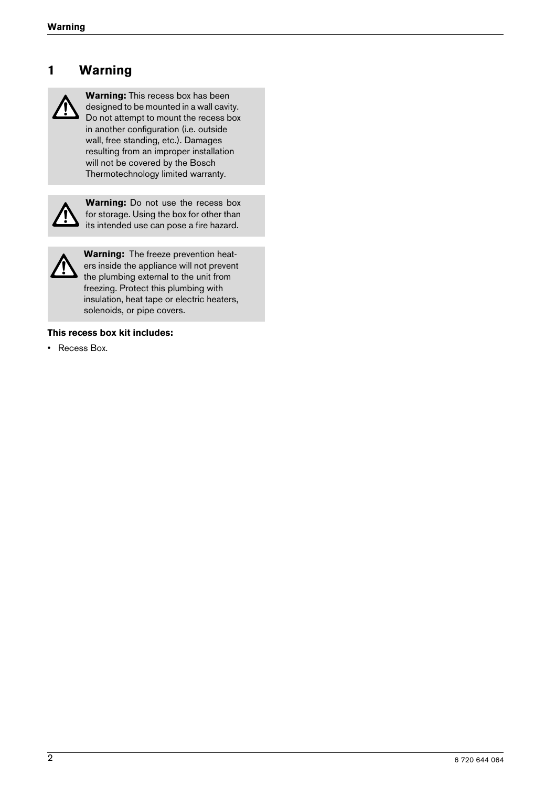#### **1 Warning**



**Warning:** This recess box has been designed to be mounted in a wall cavity. Do not attempt to mount the recess box in another configuration (i.e. outside wall, free standing, etc.). Damages resulting from an improper installation will not be covered by the Bosch Thermotechnology limited warranty.



**Warning:** Do not use the recess box for storage. Using the box for other than its intended use can pose a fire hazard.



**Warning:** The freeze prevention heaters inside the appliance will not prevent the plumbing external to the unit from freezing. Protect this plumbing with insulation, heat tape or electric heaters, solenoids, or pipe covers.

#### **This recess box kit includes:**

• Recess Box.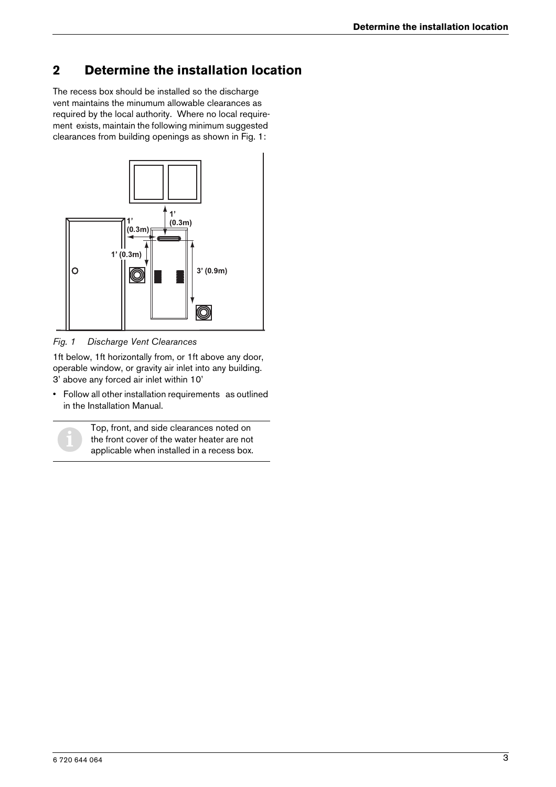## **2 Determine the installation location**

The recess box should be installed so the discharge vent maintains the minumum allowable clearances as required by the local authority. Where no local requirement exists, maintain the following minimum suggested clearances from building openings as shown in Fig. 1:



*Fig. 1 Discharge Vent Clearances*

1ft below, 1ft horizontally from, or 1ft above any door, operable window, or gravity air inlet into any building. 3' above any forced air inlet within 10'

• Follow all other installation requirements as outlined in the Installation Manual.

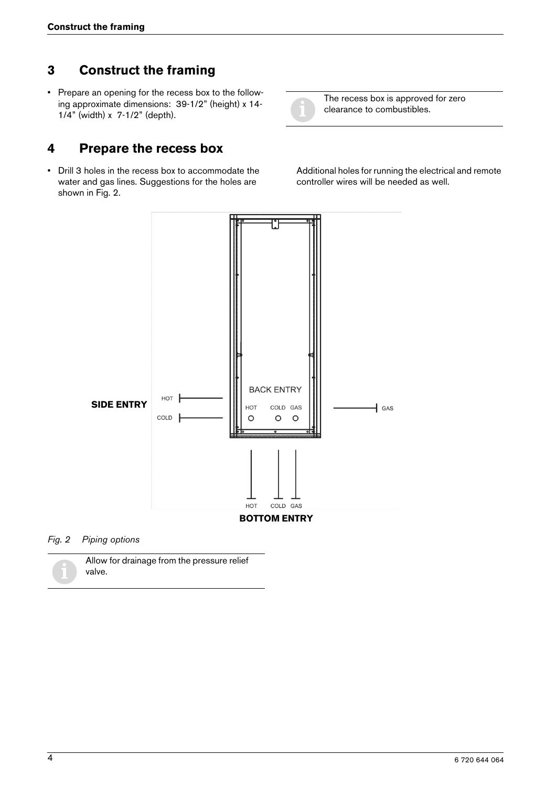#### **3 Construct the framing**

• Prepare an opening for the recess box to the following approximate dimensions: 39-1/2" (height) x 14- 1/4" (width) x 7-1/2" (depth).

#### **4 Prepare the recess box**

• Drill 3 holes in the recess box to accommodate the water and gas lines. Suggestions for the holes are shown in Fig. 2.



The recess box is approved for zero clearance to combustibles.

Additional holes for running the electrical and remote controller wires will be needed as well.



#### *Fig. 2 Piping options*

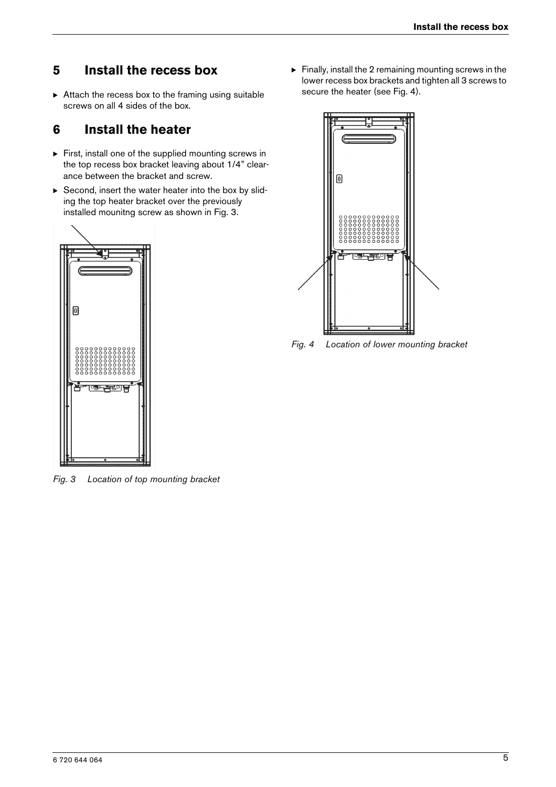#### **5 Install the recess box**

 $\triangleright$  Attach the recess box to the framing using suitable screws on all 4 sides of the box.

### **6 Install the heater**

- $\triangleright$  First, install one of the supplied mounting screws in the top recess box bracket leaving about 1/4" clearance between the bracket and screw.
- $\triangleright$  Second, insert the water heater into the box by sliding the top heater bracket over the previously installed mounitng screw as shown in Fig. 3.



*Fig. 3 Location of top mounting bracket*

 $\blacktriangleright$  Finally, install the 2 remaining mounting screws in the lower recess box brackets and tighten all 3 screws to secure the heater (see Fig. 4).



*Fig. 4 Location of lower mounting bracket*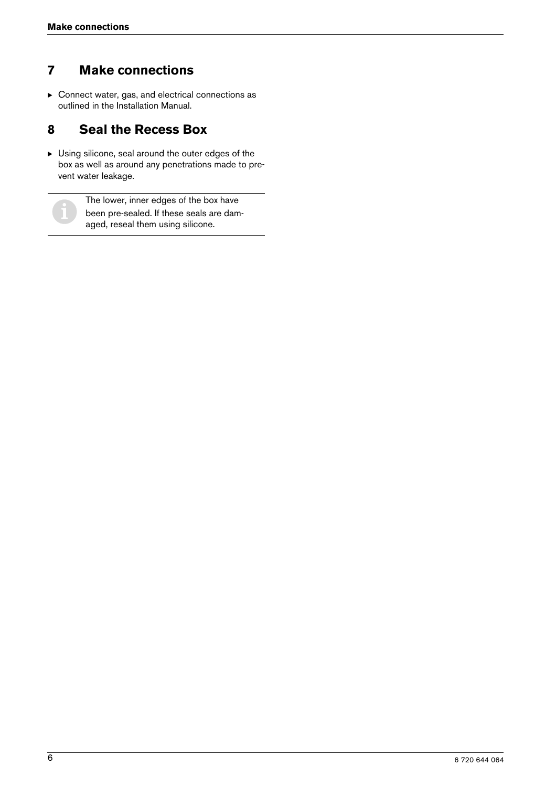### **7 Make connections**

 $\blacktriangleright$  Connect water, gas, and electrical connections as outlined in the Installation Manual.

### **8 Seal the Recess Box**

 $\blacktriangleright$  Using silicone, seal around the outer edges of the box as well as around any penetrations made to prevent water leakage.



The lower, inner edges of the box have<br>been pre-sealed. If these seals are dam-<br>and reseal them using silicons aged, reseal them using silicone.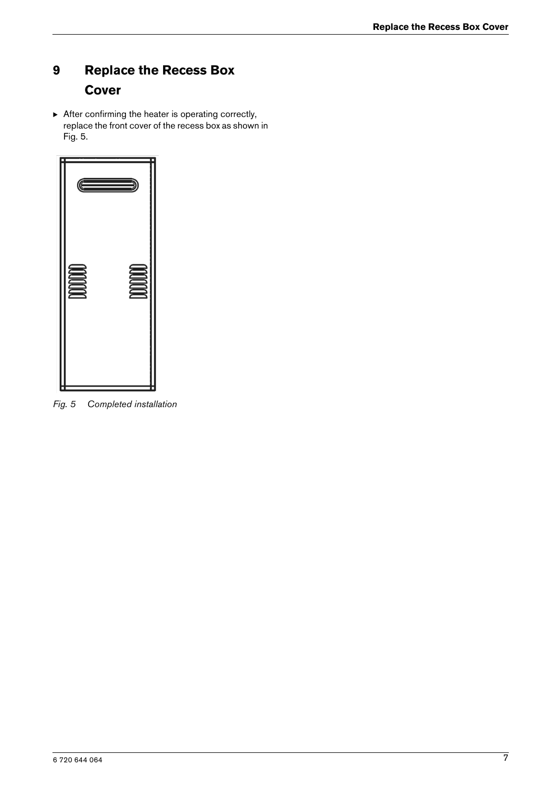# **9 Replace the Recess Box Cover**

 $\triangleright$  After confirming the heater is operating correctly, replace the front cover of the recess box as shown in Fig. 5.



*Fig. 5 Completed installation*